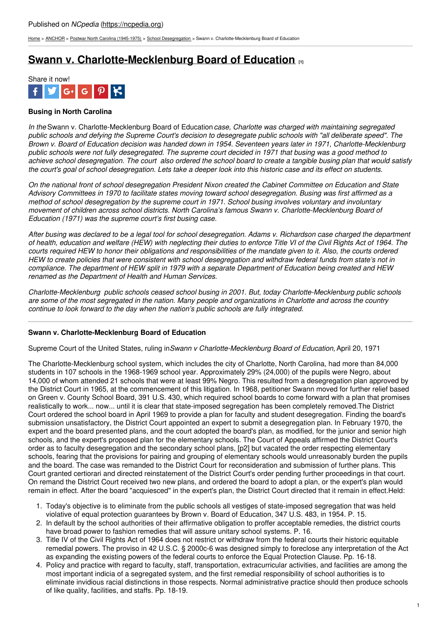[Home](https://ncpedia.org/) > [ANCHOR](https://ncpedia.org/anchor/anchor) > Postwar North Carolina [\(1945-1975\)](https://ncpedia.org/anchor/postwar-north-carolina-1945) > School [Desegregation](https://ncpedia.org/anchor/school-desegregation) > Swann v. Charlotte-Mecklenburg Board of Education

# **Swann v. [Charlotte-Mecklenburg](https://ncpedia.org/anchor/swann-v-charlotte) Board of Education [1]**



## **Busing in North Carolina**

*In the* Swann v. Charlotte-Mecklenburg Board of Education *case, Charlotte was charged with maintaining segregated* public schools and defying the Supreme Court's decision to desegregate public schools with "all deliberate speed". The Brown v. Board of Education decision was handed down in 1954. Seventeen years later in 1971, Charlotte-Mecklenburg public schools were not fully desegregated. The supreme court decided in 1971 that busing was a good method to achieve school desegregation. The court also ordered the school board to create a tangible busing plan that would satisfy the court's goal of school desegregation. Lets take a deeper look into this historic case and its effect on students.

On the national front of school desegregation President Nixon created the Cabinet Committee on Education and State Advisory Committees in 1970 to facilitate states moving toward school desegregation. Busing was first affirmed as a *method of school desegregation by the [supreme](http://www.social9.com) court in 1971. School busing involves voluntary and involuntary movement of children across school districts. North Carolina's famous Swann v. Charlotte-Mecklenburg Board of Education (1971) was the supreme court's first busing case.*

After busing was declared to be a legal tool for school desegregation. Adams v. Richardson case charged the department of health, education and welfare (HEW) with neglecting their duties to enforce Title VI of the Civil Rights Act of 1964. The courts required HEW to honor their obligations and responsibilities of the mandate given to it. Also, the courts ordered HEW to create policies that were consistent with school desegregation and withdraw federal funds from state's not in compliance. The department of HEW split in 1979 with a separate Department of Education being created and HEW *renamed as the Department of Health and Human Services.*

*Charlotte-Mecklenburg public schools ceased school busing in 2001. But, today Charlotte-Mecklenburg public schools* are some of the most segregated in the nation. Many people and organizations in Charlotte and across the country *continue to look forward to the day when the nation's public schools are fully integrated.*

### **Swann v. Charlotte-Mecklenburg Board of Education**

Supreme Court of the United States, ruling in*Swann v Charlotte-Mecklenburg Board of Education,* April 20, 1971

The Charlotte-Mecklenburg school system, which includes the city of Charlotte, North Carolina, had more than 84,000 students in 107 schools in the 1968-1969 school year. Approximately 29% (24,000) of the pupils were Negro, about 14,000 of whom attended 21 schools that were at least 99% Negro. This resulted from a desegregation plan approved by the District Court in 1965, at the commencement of this litigation. In 1968, petitioner Swann moved for further relief based on Green v. County School Board, 391 U.S. 430, which required school boards to come forward with a plan that promises realistically to work... now... until it is clear that state-imposed segregation has been completely removed.The District Court ordered the school board in April 1969 to provide a plan for faculty and student desegregation. Finding the board's submission unsatisfactory, the District Court appointed an expert to submit a desegregation plan. In February 1970, the expert and the board presented plans, and the court adopted the board's plan, as modified, for the junior and senior high schools, and the expert's proposed plan for the elementary schools. The Court of Appeals affirmed the District Court's order as to faculty desegregation and the secondary school plans, [p2] but vacated the order respecting elementary schools, fearing that the provisions for pairing and grouping of elementary schools would unreasonably burden the pupils and the board. The case was remanded to the District Court for reconsideration and submission of further plans. This Court granted certiorari and directed reinstatement of the District Court's order pending further proceedings in that court. On remand the District Court received two new plans, and ordered the board to adopt a plan, or the expert's plan would remain in effect. After the board "acquiesced" in the expert's plan, the District Court directed that it remain in effect.Held:

- 1. Today's objective is to eliminate from the public schools all vestiges of state-imposed segregation that was held violative of equal protection guarantees by Brown v. Board of Education, 347 U.S. 483, in 1954. P. 15.
- 2. In default by the school authorities of their affirmative obligation to proffer acceptable remedies, the district courts have broad power to fashion remedies that will assure unitary school systems. P. 16.
- 3. Title IV of the Civil Rights Act of 1964 does not restrict or withdraw from the federal courts their historic equitable remedial powers. The proviso in 42 U.S.C. § 2000c-6 was designed simply to foreclose any interpretation of the Act as expanding the existing powers of the federal courts to enforce the Equal Protection Clause. Pp. 16-18.
- 4. Policy and practice with regard to faculty, staff, transportation, extracurricular activities, and facilities are among the most important indicia of a segregated system, and the first remedial responsibility of school authorities is to eliminate invidious racial distinctions in those respects. Normal administrative practice should then produce schools of like quality, facilities, and staffs. Pp. 18-19.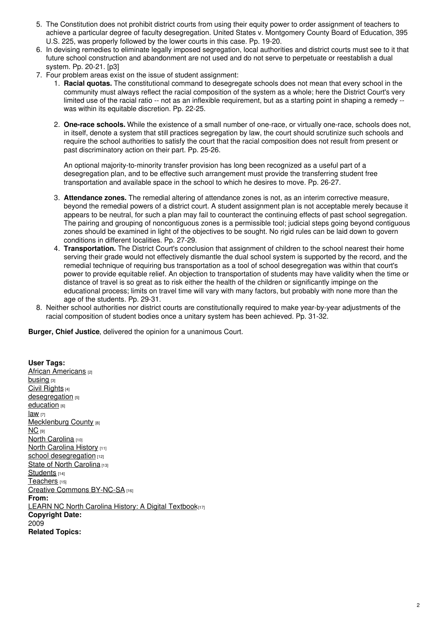- 5. The Constitution does not prohibit district courts from using their equity power to order assignment of teachers to achieve a particular degree of faculty desegregation. United States v. Montgomery County Board of Education, 395 U.S. 225, was properly followed by the lower courts in this case. Pp. 19-20.
- 6. In devising remedies to eliminate legally imposed segregation, local authorities and district courts must see to it that future school construction and abandonment are not used and do not serve to perpetuate or reestablish a dual system. Pp. 20-21. [p3]
- 7. Four problem areas exist on the issue of student assignment:
	- 1. **Racial quotas.** The constitutional command to desegregate schools does not mean that every school in the community must always reflect the racial composition of the system as a whole; here the District Court's very limited use of the racial ratio -- not as an inflexible requirement, but as a starting point in shaping a remedy - was within its equitable discretion. Pp. 22-25.
	- 2. **One-race schools.** While the existence of a small number of one-race, or virtually one-race, schools does not, in itself, denote a system that still practices segregation by law, the court should scrutinize such schools and require the school authorities to satisfy the court that the racial composition does not result from present or past discriminatory action on their part. Pp. 25-26.

An optional majority-to-minority transfer provision has long been recognized as a useful part of a desegregation plan, and to be effective such arrangement must provide the transferring student free transportation and available space in the school to which he desires to move. Pp. 26-27.

- 3. **Attendance zones.** The remedial altering of attendance zones is not, as an interim corrective measure, beyond the remedial powers of a district court. A student assignment plan is not acceptable merely because it appears to be neutral, for such a plan may fail to counteract the continuing effects of past school segregation. The pairing and grouping of noncontiguous zones is a permissible tool; judicial steps going beyond contiguous zones should be examined in light of the objectives to be sought. No rigid rules can be laid down to govern conditions in different localities. Pp. 27-29.
- 4. **Transportation.** The District Court's conclusion that assignment of children to the school nearest their home serving their grade would not effectively dismantle the dual school system is supported by the record, and the remedial technique of requiring bus transportation as a tool of school desegregation was within that court's power to provide equitable relief. An objection to transportation of students may have validity when the time or distance of travel is so great as to risk either the health of the children or significantly impinge on the educational process; limits on travel time will vary with many factors, but probably with none more than the age of the students. Pp. 29-31.
- 8. Neither school authorities nor district courts are constitutionally required to make year-by-year adjustments of the racial composition of student bodies once a unitary system has been achieved. Pp. 31-32.

**Burger, Chief Justice**, delivered the opinion for a unanimous Court.

**User Tags:** African [Americans](https://ncpedia.org/category/user-tags/african-american) [2] [busing](https://ncpedia.org/category/user-tags/busing) [3] Civil [Rights](https://ncpedia.org/category/user-tags/civil-rights) [4] [desegregation](https://ncpedia.org/category/user-tags/desegregation) [5] [education](https://ncpedia.org/category/user-tags/education) [6]  $law_{[7]}$  $law_{[7]}$ **[Mecklenburg](https://ncpedia.org/category/user-tags/mecklenburg-0) County [8]**  $NC$  [9] North [Carolina](https://ncpedia.org/category/user-tags/north-carolina-5) [10] North [Carolina](https://ncpedia.org/category/user-tags/north-carolina-6) History [11] school [desegregation](https://ncpedia.org/category/user-tags/school-0) [12] State of North [Carolina](https://ncpedia.org/category/user-tags/state-north) [13] [Students](https://ncpedia.org/category/user-tags/students) [14] [Teachers](https://ncpedia.org/category/user-tags/teachers) [15] Creative Commons [BY-NC-SA](https://ncpedia.org/category/user-tags/creative-commons) [16] **From:** LEARN NC North Carolina History: A Digital [Textbook](https://ncpedia.org/category/entry-source/learn-nc)[17] **Copyright Date:** 2009 **Related Topics:**